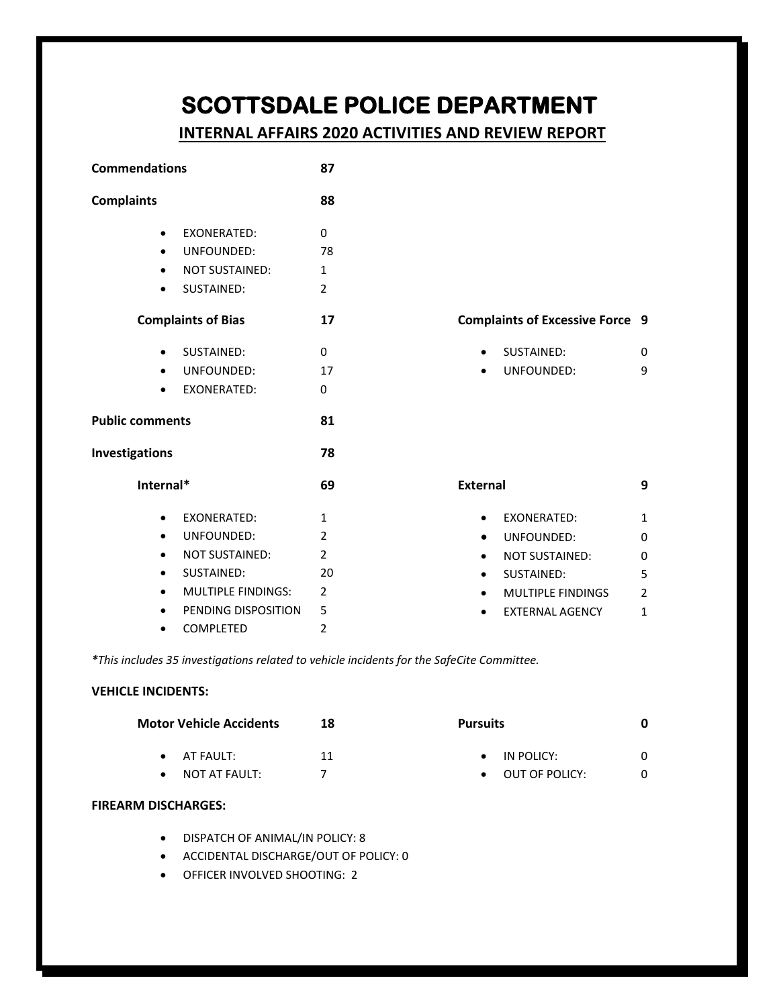# **SCOTTSDALE POLICE DEPARTMENT**

# **INTERNAL AFFAIRS 2020 ACTIVITIES AND REVIEW REPORT**

| <b>Commendations</b>      | 87                                                                      |                                        |
|---------------------------|-------------------------------------------------------------------------|----------------------------------------|
| <b>Complaints</b>         | 88                                                                      |                                        |
| $\bullet$                 | <b>EXONERATED:</b><br>UNFOUNDED:<br><b>NOT SUSTAINED:</b><br>SUSTAINED: | 0<br>78<br>1<br>$\overline{2}$         |
| <b>Complaints of Bias</b> | 17                                                                      |                                        |
|                           | <b>SUSTAINED:</b><br>· UNFOUNDED:<br><b>EXONERATED:</b>                 | 0<br>17<br>0                           |
| <b>Public comments</b>    | 81                                                                      |                                        |
| Investigations            | 78                                                                      |                                        |
| Internal*                 | 69                                                                      |                                        |
|                           | <b>EXONERATED:</b><br>UNFOUNDED:                                        | 1<br>2                                 |
|                           | <b>NOT SUSTAINED:</b><br>SUSTAINED:<br><b>MULTIPLE FINDINGS:</b>        | $\overline{2}$<br>20<br>$\overline{2}$ |
| $\bullet$                 | PENDING DISPOSITION<br><b>COMPLETED</b>                                 | 5<br>$\overline{2}$                    |

## **Complaints of Excessive Force 9**

| SUSTAINED: |  |
|------------|--|
|            |  |

UNFOUNDED: 9

| External |                    |               |
|----------|--------------------|---------------|
|          | <b>FXONFRATFD:</b> | 1             |
|          | UNFOUNDED:         | 0             |
|          | NOT SUSTAINED:     | O             |
|          | SUSTAINED:         | 5             |
|          | MULTIPLE FINDINGS  | $\mathcal{P}$ |
|          | EXTERNAL AGENCY    |               |

*\*This includes 35 investigations related to vehicle incidents for the SafeCite Committee.* 

## **VEHICLE INCIDENTS:**

| <b>Motor Vehicle Accidents</b> | 18 | <b>Pursuits</b> |   |
|--------------------------------|----|-----------------|---|
| $\bullet$ AT FAULT:            | 11 | IN POLICY:      |   |
| NOT AT FAULT:                  |    | OUT OF POLICY:  | 0 |

## **FIREARM DISCHARGES:**

- DISPATCH OF ANIMAL/IN POLICY: 8
- ACCIDENTAL DISCHARGE/OUT OF POLICY: 0
- OFFICER INVOLVED SHOOTING: 2